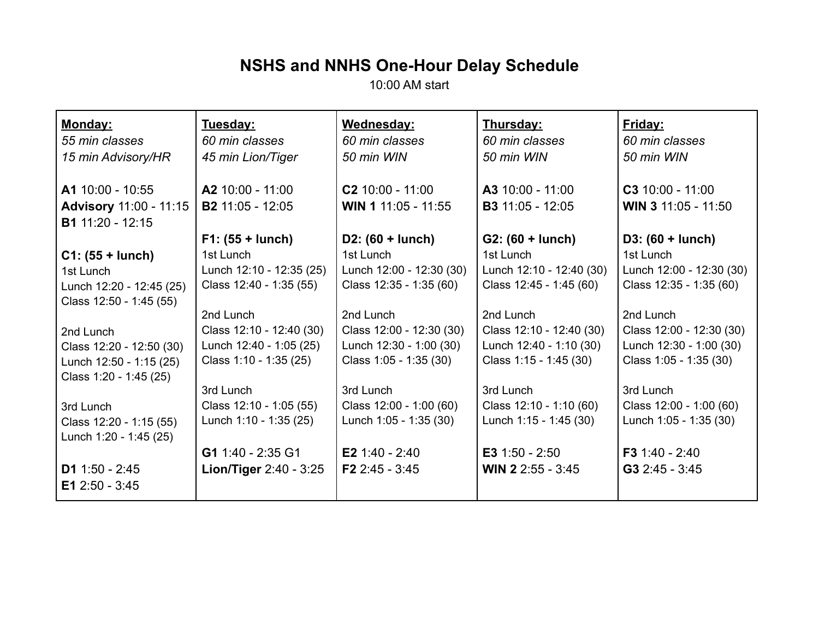## **NSHS and NNHS One-Hour Delay Schedule**

10:00 AM start

| Monday:                       | Tuesday:                 | Wednesday:               | Thursday:                | Friday:                  |
|-------------------------------|--------------------------|--------------------------|--------------------------|--------------------------|
| 55 min classes                | 60 min classes           | 60 min classes           | 60 min classes           | 60 min classes           |
| 15 min Advisory/HR            | 45 min Lion/Tiger        | 50 min WIN               | 50 min WIN               | 50 min WIN               |
| A1 10:00 - 10:55              | A2 10:00 - 11:00         | $C2$ 10:00 - 11:00       | A3 10:00 - 11:00         | $C3$ 10:00 - 11:00       |
| <b>Advisory 11:00 - 11:15</b> | <b>B2</b> 11:05 - 12:05  | WIN 1 11:05 - 11:55      | <b>B3</b> 11:05 - 12:05  | WIN 3 11:05 - 11:50      |
| <b>B1</b> 11:20 - 12:15       |                          |                          |                          |                          |
|                               | $F1: (55 + lunch)$       | $D2: (60 + lunch)$       | $G2: (60 + lunch)$       | $D3: (60 + lunch)$       |
| $C1: (55 + lunch)$            | 1st Lunch                | 1st Lunch                | 1st Lunch                | 1st Lunch                |
| 1st Lunch                     | Lunch 12:10 - 12:35 (25) | Lunch 12:00 - 12:30 (30) | Lunch 12:10 - 12:40 (30) | Lunch 12:00 - 12:30 (30) |
| Lunch 12:20 - 12:45 (25)      | Class 12:40 - 1:35 (55)  | Class 12:35 - 1:35 (60)  | Class 12:45 - 1:45 (60)  | Class 12:35 - 1:35 (60)  |
| Class 12:50 - 1:45 (55)       |                          |                          |                          |                          |
|                               | 2nd Lunch                | 2nd Lunch                | 2nd Lunch                | 2nd Lunch                |
| 2nd Lunch                     | Class 12:10 - 12:40 (30) | Class 12:00 - 12:30 (30) | Class 12:10 - 12:40 (30) | Class 12:00 - 12:30 (30) |
| Class 12:20 - 12:50 (30)      | Lunch 12:40 - 1:05 (25)  | Lunch 12:30 - 1:00 (30)  | Lunch 12:40 - 1:10 (30)  | Lunch 12:30 - 1:00 (30)  |
| Lunch 12:50 - 1:15 (25)       | Class 1:10 - 1:35 (25)   | Class 1:05 - 1:35 (30)   | Class 1:15 - 1:45 (30)   | Class 1:05 - 1:35 (30)   |
| Class 1:20 - 1:45 (25)        |                          |                          |                          |                          |
|                               | 3rd Lunch                | 3rd Lunch                | 3rd Lunch                | 3rd Lunch                |
| 3rd Lunch                     | Class 12:10 - 1:05 (55)  | Class 12:00 - 1:00 (60)  | Class 12:10 - 1:10 (60)  | Class 12:00 - 1:00 (60)  |
| Class 12:20 - 1:15 (55)       | Lunch 1:10 - 1:35 (25)   | Lunch 1:05 - 1:35 (30)   | Lunch 1:15 - 1:45 (30)   | Lunch 1:05 - 1:35 (30)   |
| Lunch 1:20 - 1:45 (25)        |                          |                          |                          |                          |
|                               | G1 1:40 - 2:35 G1        | E2 1:40 - 2:40           | E3 $1:50 - 2:50$         | F3 1:40 - 2:40           |
| D1 $1:50 - 2:45$              | Lion/Tiger 2:40 - 3:25   | F2 2:45 - 3:45           | WIN 2 2:55 - 3:45        | $G3 2:45 - 3:45$         |
| E1 2:50 - 3:45                |                          |                          |                          |                          |